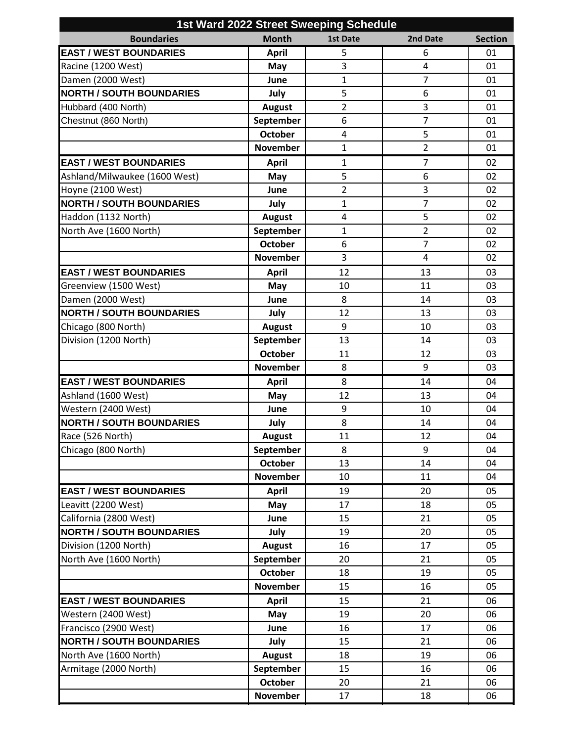| <b>Boundaries</b><br><b>Month</b><br><b>Section</b><br><b>1st Date</b><br>2nd Date<br><b>EAST / WEST BOUNDARIES</b><br><b>April</b><br>5<br>6<br>01<br>3<br>Racine (1200 West)<br>4<br>01<br>May<br>$\overline{7}$<br>Damen (2000 West)<br>$\mathbf{1}$<br>01<br>June<br>5<br><b>NORTH / SOUTH BOUNDARIES</b><br>July<br>6<br>01<br>$\overline{2}$<br>$\mathsf 3$<br>Hubbard (400 North)<br><b>August</b><br>01<br>$\overline{7}$<br>6<br>Chestnut (860 North)<br>September<br>01<br>5<br><b>October</b><br>4<br>01<br>$\overline{2}$<br><b>November</b><br>$\mathbf{1}$<br>01<br>$\overline{7}$<br><b>EAST / WEST BOUNDARIES</b><br><b>April</b><br>$\mathbf{1}$<br>02<br>5<br>6<br>02<br>Ashland/Milwaukee (1600 West)<br>May<br>3<br>Hoyne (2100 West)<br>$\overline{2}$<br>02<br>June<br>$\overline{7}$<br><b>NORTH / SOUTH BOUNDARIES</b><br>$\mathbf{1}$<br>02<br>July<br>5<br>Haddon (1132 North)<br>$\overline{4}$<br>02<br><b>August</b><br>$\mathbf{1}$<br>$\overline{2}$<br>North Ave (1600 North)<br>September<br>02<br><b>October</b><br>6<br>$\overline{7}$<br>02<br><b>November</b><br>3<br>4<br>02<br><b>EAST / WEST BOUNDARIES</b><br>12<br><b>April</b><br>13<br>03<br>Greenview (1500 West)<br>03<br>10<br>11<br>May<br>Damen (2000 West)<br>8<br>03<br>June<br>14<br><b>NORTH / SOUTH BOUNDARIES</b><br>12<br>03<br>July<br>13<br>9<br>Chicago (800 North)<br><b>August</b><br>10<br>03<br>Division (1200 North)<br>September<br>13<br>14<br>03<br><b>October</b><br>11<br>12<br>03<br><b>November</b><br>8<br>9<br>03<br><b>EAST / WEST BOUNDARIES</b><br>8<br>04<br><b>April</b><br>14<br>Ashland (1600 West)<br>12<br>13<br>04<br>May<br>Western (2400 West)<br>9<br>10<br>04<br>June<br><b>NORTH / SOUTH BOUNDARIES</b><br>8<br>04<br>July<br>14<br>Race (526 North)<br>11<br>12<br>04<br><b>August</b><br>Chicago (800 North)<br>8<br>9<br>September<br>04<br><b>October</b><br>13<br>14<br>04<br><b>November</b><br>10<br>11<br>04<br><b>EAST / WEST BOUNDARIES</b><br>19<br><b>April</b><br>20<br>05<br>Leavitt (2200 West)<br>18<br>17<br>05<br>May<br>California (2800 West)<br>June<br>15<br>21<br>05<br><b>NORTH / SOUTH BOUNDARIES</b><br>19<br>July<br>20<br>05<br>Division (1200 North)<br>17<br><b>August</b><br>16<br>05<br>North Ave (1600 North)<br>September<br>20<br>05<br>21<br><b>October</b><br>18<br>19<br>05<br><b>November</b><br>15<br>16<br>05<br><b>EAST / WEST BOUNDARIES</b><br>21<br>15<br>06<br><b>April</b><br>Western (2400 West)<br>19<br>20<br>06<br>May<br>Francisco (2900 West)<br>16<br>17<br>June<br>06<br><b>NORTH / SOUTH BOUNDARIES</b><br>July<br>15<br>21<br>06<br>North Ave (1600 North)<br>18<br>19<br><b>August</b><br>06<br>Armitage (2000 North)<br>September<br>15<br>16<br>06<br><b>October</b><br>20<br>21<br>06<br><b>November</b><br>17<br>18<br>06 | 1st Ward 2022 Street Sweeping Schedule |  |  |  |  |  |  |  |
|---------------------------------------------------------------------------------------------------------------------------------------------------------------------------------------------------------------------------------------------------------------------------------------------------------------------------------------------------------------------------------------------------------------------------------------------------------------------------------------------------------------------------------------------------------------------------------------------------------------------------------------------------------------------------------------------------------------------------------------------------------------------------------------------------------------------------------------------------------------------------------------------------------------------------------------------------------------------------------------------------------------------------------------------------------------------------------------------------------------------------------------------------------------------------------------------------------------------------------------------------------------------------------------------------------------------------------------------------------------------------------------------------------------------------------------------------------------------------------------------------------------------------------------------------------------------------------------------------------------------------------------------------------------------------------------------------------------------------------------------------------------------------------------------------------------------------------------------------------------------------------------------------------------------------------------------------------------------------------------------------------------------------------------------------------------------------------------------------------------------------------------------------------------------------------------------------------------------------------------------------------------------------------------------------------------------------------------------------------------------------------------------------------------------------------------------------------------------------------------------------------------------------------------------------------------------------------------------------------------------------------------------------------------------------------------------------------------------------------------------------------------------------------------------------------------------------------|----------------------------------------|--|--|--|--|--|--|--|
|                                                                                                                                                                                                                                                                                                                                                                                                                                                                                                                                                                                                                                                                                                                                                                                                                                                                                                                                                                                                                                                                                                                                                                                                                                                                                                                                                                                                                                                                                                                                                                                                                                                                                                                                                                                                                                                                                                                                                                                                                                                                                                                                                                                                                                                                                                                                                                                                                                                                                                                                                                                                                                                                                                                                                                                                                                 |                                        |  |  |  |  |  |  |  |
|                                                                                                                                                                                                                                                                                                                                                                                                                                                                                                                                                                                                                                                                                                                                                                                                                                                                                                                                                                                                                                                                                                                                                                                                                                                                                                                                                                                                                                                                                                                                                                                                                                                                                                                                                                                                                                                                                                                                                                                                                                                                                                                                                                                                                                                                                                                                                                                                                                                                                                                                                                                                                                                                                                                                                                                                                                 |                                        |  |  |  |  |  |  |  |
|                                                                                                                                                                                                                                                                                                                                                                                                                                                                                                                                                                                                                                                                                                                                                                                                                                                                                                                                                                                                                                                                                                                                                                                                                                                                                                                                                                                                                                                                                                                                                                                                                                                                                                                                                                                                                                                                                                                                                                                                                                                                                                                                                                                                                                                                                                                                                                                                                                                                                                                                                                                                                                                                                                                                                                                                                                 |                                        |  |  |  |  |  |  |  |
|                                                                                                                                                                                                                                                                                                                                                                                                                                                                                                                                                                                                                                                                                                                                                                                                                                                                                                                                                                                                                                                                                                                                                                                                                                                                                                                                                                                                                                                                                                                                                                                                                                                                                                                                                                                                                                                                                                                                                                                                                                                                                                                                                                                                                                                                                                                                                                                                                                                                                                                                                                                                                                                                                                                                                                                                                                 |                                        |  |  |  |  |  |  |  |
|                                                                                                                                                                                                                                                                                                                                                                                                                                                                                                                                                                                                                                                                                                                                                                                                                                                                                                                                                                                                                                                                                                                                                                                                                                                                                                                                                                                                                                                                                                                                                                                                                                                                                                                                                                                                                                                                                                                                                                                                                                                                                                                                                                                                                                                                                                                                                                                                                                                                                                                                                                                                                                                                                                                                                                                                                                 |                                        |  |  |  |  |  |  |  |
|                                                                                                                                                                                                                                                                                                                                                                                                                                                                                                                                                                                                                                                                                                                                                                                                                                                                                                                                                                                                                                                                                                                                                                                                                                                                                                                                                                                                                                                                                                                                                                                                                                                                                                                                                                                                                                                                                                                                                                                                                                                                                                                                                                                                                                                                                                                                                                                                                                                                                                                                                                                                                                                                                                                                                                                                                                 |                                        |  |  |  |  |  |  |  |
|                                                                                                                                                                                                                                                                                                                                                                                                                                                                                                                                                                                                                                                                                                                                                                                                                                                                                                                                                                                                                                                                                                                                                                                                                                                                                                                                                                                                                                                                                                                                                                                                                                                                                                                                                                                                                                                                                                                                                                                                                                                                                                                                                                                                                                                                                                                                                                                                                                                                                                                                                                                                                                                                                                                                                                                                                                 |                                        |  |  |  |  |  |  |  |
|                                                                                                                                                                                                                                                                                                                                                                                                                                                                                                                                                                                                                                                                                                                                                                                                                                                                                                                                                                                                                                                                                                                                                                                                                                                                                                                                                                                                                                                                                                                                                                                                                                                                                                                                                                                                                                                                                                                                                                                                                                                                                                                                                                                                                                                                                                                                                                                                                                                                                                                                                                                                                                                                                                                                                                                                                                 |                                        |  |  |  |  |  |  |  |
|                                                                                                                                                                                                                                                                                                                                                                                                                                                                                                                                                                                                                                                                                                                                                                                                                                                                                                                                                                                                                                                                                                                                                                                                                                                                                                                                                                                                                                                                                                                                                                                                                                                                                                                                                                                                                                                                                                                                                                                                                                                                                                                                                                                                                                                                                                                                                                                                                                                                                                                                                                                                                                                                                                                                                                                                                                 |                                        |  |  |  |  |  |  |  |
|                                                                                                                                                                                                                                                                                                                                                                                                                                                                                                                                                                                                                                                                                                                                                                                                                                                                                                                                                                                                                                                                                                                                                                                                                                                                                                                                                                                                                                                                                                                                                                                                                                                                                                                                                                                                                                                                                                                                                                                                                                                                                                                                                                                                                                                                                                                                                                                                                                                                                                                                                                                                                                                                                                                                                                                                                                 |                                        |  |  |  |  |  |  |  |
|                                                                                                                                                                                                                                                                                                                                                                                                                                                                                                                                                                                                                                                                                                                                                                                                                                                                                                                                                                                                                                                                                                                                                                                                                                                                                                                                                                                                                                                                                                                                                                                                                                                                                                                                                                                                                                                                                                                                                                                                                                                                                                                                                                                                                                                                                                                                                                                                                                                                                                                                                                                                                                                                                                                                                                                                                                 |                                        |  |  |  |  |  |  |  |
|                                                                                                                                                                                                                                                                                                                                                                                                                                                                                                                                                                                                                                                                                                                                                                                                                                                                                                                                                                                                                                                                                                                                                                                                                                                                                                                                                                                                                                                                                                                                                                                                                                                                                                                                                                                                                                                                                                                                                                                                                                                                                                                                                                                                                                                                                                                                                                                                                                                                                                                                                                                                                                                                                                                                                                                                                                 |                                        |  |  |  |  |  |  |  |
|                                                                                                                                                                                                                                                                                                                                                                                                                                                                                                                                                                                                                                                                                                                                                                                                                                                                                                                                                                                                                                                                                                                                                                                                                                                                                                                                                                                                                                                                                                                                                                                                                                                                                                                                                                                                                                                                                                                                                                                                                                                                                                                                                                                                                                                                                                                                                                                                                                                                                                                                                                                                                                                                                                                                                                                                                                 |                                        |  |  |  |  |  |  |  |
|                                                                                                                                                                                                                                                                                                                                                                                                                                                                                                                                                                                                                                                                                                                                                                                                                                                                                                                                                                                                                                                                                                                                                                                                                                                                                                                                                                                                                                                                                                                                                                                                                                                                                                                                                                                                                                                                                                                                                                                                                                                                                                                                                                                                                                                                                                                                                                                                                                                                                                                                                                                                                                                                                                                                                                                                                                 |                                        |  |  |  |  |  |  |  |
|                                                                                                                                                                                                                                                                                                                                                                                                                                                                                                                                                                                                                                                                                                                                                                                                                                                                                                                                                                                                                                                                                                                                                                                                                                                                                                                                                                                                                                                                                                                                                                                                                                                                                                                                                                                                                                                                                                                                                                                                                                                                                                                                                                                                                                                                                                                                                                                                                                                                                                                                                                                                                                                                                                                                                                                                                                 |                                        |  |  |  |  |  |  |  |
|                                                                                                                                                                                                                                                                                                                                                                                                                                                                                                                                                                                                                                                                                                                                                                                                                                                                                                                                                                                                                                                                                                                                                                                                                                                                                                                                                                                                                                                                                                                                                                                                                                                                                                                                                                                                                                                                                                                                                                                                                                                                                                                                                                                                                                                                                                                                                                                                                                                                                                                                                                                                                                                                                                                                                                                                                                 |                                        |  |  |  |  |  |  |  |
|                                                                                                                                                                                                                                                                                                                                                                                                                                                                                                                                                                                                                                                                                                                                                                                                                                                                                                                                                                                                                                                                                                                                                                                                                                                                                                                                                                                                                                                                                                                                                                                                                                                                                                                                                                                                                                                                                                                                                                                                                                                                                                                                                                                                                                                                                                                                                                                                                                                                                                                                                                                                                                                                                                                                                                                                                                 |                                        |  |  |  |  |  |  |  |
|                                                                                                                                                                                                                                                                                                                                                                                                                                                                                                                                                                                                                                                                                                                                                                                                                                                                                                                                                                                                                                                                                                                                                                                                                                                                                                                                                                                                                                                                                                                                                                                                                                                                                                                                                                                                                                                                                                                                                                                                                                                                                                                                                                                                                                                                                                                                                                                                                                                                                                                                                                                                                                                                                                                                                                                                                                 |                                        |  |  |  |  |  |  |  |
|                                                                                                                                                                                                                                                                                                                                                                                                                                                                                                                                                                                                                                                                                                                                                                                                                                                                                                                                                                                                                                                                                                                                                                                                                                                                                                                                                                                                                                                                                                                                                                                                                                                                                                                                                                                                                                                                                                                                                                                                                                                                                                                                                                                                                                                                                                                                                                                                                                                                                                                                                                                                                                                                                                                                                                                                                                 |                                        |  |  |  |  |  |  |  |
|                                                                                                                                                                                                                                                                                                                                                                                                                                                                                                                                                                                                                                                                                                                                                                                                                                                                                                                                                                                                                                                                                                                                                                                                                                                                                                                                                                                                                                                                                                                                                                                                                                                                                                                                                                                                                                                                                                                                                                                                                                                                                                                                                                                                                                                                                                                                                                                                                                                                                                                                                                                                                                                                                                                                                                                                                                 |                                        |  |  |  |  |  |  |  |
|                                                                                                                                                                                                                                                                                                                                                                                                                                                                                                                                                                                                                                                                                                                                                                                                                                                                                                                                                                                                                                                                                                                                                                                                                                                                                                                                                                                                                                                                                                                                                                                                                                                                                                                                                                                                                                                                                                                                                                                                                                                                                                                                                                                                                                                                                                                                                                                                                                                                                                                                                                                                                                                                                                                                                                                                                                 |                                        |  |  |  |  |  |  |  |
|                                                                                                                                                                                                                                                                                                                                                                                                                                                                                                                                                                                                                                                                                                                                                                                                                                                                                                                                                                                                                                                                                                                                                                                                                                                                                                                                                                                                                                                                                                                                                                                                                                                                                                                                                                                                                                                                                                                                                                                                                                                                                                                                                                                                                                                                                                                                                                                                                                                                                                                                                                                                                                                                                                                                                                                                                                 |                                        |  |  |  |  |  |  |  |
|                                                                                                                                                                                                                                                                                                                                                                                                                                                                                                                                                                                                                                                                                                                                                                                                                                                                                                                                                                                                                                                                                                                                                                                                                                                                                                                                                                                                                                                                                                                                                                                                                                                                                                                                                                                                                                                                                                                                                                                                                                                                                                                                                                                                                                                                                                                                                                                                                                                                                                                                                                                                                                                                                                                                                                                                                                 |                                        |  |  |  |  |  |  |  |
|                                                                                                                                                                                                                                                                                                                                                                                                                                                                                                                                                                                                                                                                                                                                                                                                                                                                                                                                                                                                                                                                                                                                                                                                                                                                                                                                                                                                                                                                                                                                                                                                                                                                                                                                                                                                                                                                                                                                                                                                                                                                                                                                                                                                                                                                                                                                                                                                                                                                                                                                                                                                                                                                                                                                                                                                                                 |                                        |  |  |  |  |  |  |  |
|                                                                                                                                                                                                                                                                                                                                                                                                                                                                                                                                                                                                                                                                                                                                                                                                                                                                                                                                                                                                                                                                                                                                                                                                                                                                                                                                                                                                                                                                                                                                                                                                                                                                                                                                                                                                                                                                                                                                                                                                                                                                                                                                                                                                                                                                                                                                                                                                                                                                                                                                                                                                                                                                                                                                                                                                                                 |                                        |  |  |  |  |  |  |  |
|                                                                                                                                                                                                                                                                                                                                                                                                                                                                                                                                                                                                                                                                                                                                                                                                                                                                                                                                                                                                                                                                                                                                                                                                                                                                                                                                                                                                                                                                                                                                                                                                                                                                                                                                                                                                                                                                                                                                                                                                                                                                                                                                                                                                                                                                                                                                                                                                                                                                                                                                                                                                                                                                                                                                                                                                                                 |                                        |  |  |  |  |  |  |  |
|                                                                                                                                                                                                                                                                                                                                                                                                                                                                                                                                                                                                                                                                                                                                                                                                                                                                                                                                                                                                                                                                                                                                                                                                                                                                                                                                                                                                                                                                                                                                                                                                                                                                                                                                                                                                                                                                                                                                                                                                                                                                                                                                                                                                                                                                                                                                                                                                                                                                                                                                                                                                                                                                                                                                                                                                                                 |                                        |  |  |  |  |  |  |  |
|                                                                                                                                                                                                                                                                                                                                                                                                                                                                                                                                                                                                                                                                                                                                                                                                                                                                                                                                                                                                                                                                                                                                                                                                                                                                                                                                                                                                                                                                                                                                                                                                                                                                                                                                                                                                                                                                                                                                                                                                                                                                                                                                                                                                                                                                                                                                                                                                                                                                                                                                                                                                                                                                                                                                                                                                                                 |                                        |  |  |  |  |  |  |  |
|                                                                                                                                                                                                                                                                                                                                                                                                                                                                                                                                                                                                                                                                                                                                                                                                                                                                                                                                                                                                                                                                                                                                                                                                                                                                                                                                                                                                                                                                                                                                                                                                                                                                                                                                                                                                                                                                                                                                                                                                                                                                                                                                                                                                                                                                                                                                                                                                                                                                                                                                                                                                                                                                                                                                                                                                                                 |                                        |  |  |  |  |  |  |  |
|                                                                                                                                                                                                                                                                                                                                                                                                                                                                                                                                                                                                                                                                                                                                                                                                                                                                                                                                                                                                                                                                                                                                                                                                                                                                                                                                                                                                                                                                                                                                                                                                                                                                                                                                                                                                                                                                                                                                                                                                                                                                                                                                                                                                                                                                                                                                                                                                                                                                                                                                                                                                                                                                                                                                                                                                                                 |                                        |  |  |  |  |  |  |  |
|                                                                                                                                                                                                                                                                                                                                                                                                                                                                                                                                                                                                                                                                                                                                                                                                                                                                                                                                                                                                                                                                                                                                                                                                                                                                                                                                                                                                                                                                                                                                                                                                                                                                                                                                                                                                                                                                                                                                                                                                                                                                                                                                                                                                                                                                                                                                                                                                                                                                                                                                                                                                                                                                                                                                                                                                                                 |                                        |  |  |  |  |  |  |  |
|                                                                                                                                                                                                                                                                                                                                                                                                                                                                                                                                                                                                                                                                                                                                                                                                                                                                                                                                                                                                                                                                                                                                                                                                                                                                                                                                                                                                                                                                                                                                                                                                                                                                                                                                                                                                                                                                                                                                                                                                                                                                                                                                                                                                                                                                                                                                                                                                                                                                                                                                                                                                                                                                                                                                                                                                                                 |                                        |  |  |  |  |  |  |  |
|                                                                                                                                                                                                                                                                                                                                                                                                                                                                                                                                                                                                                                                                                                                                                                                                                                                                                                                                                                                                                                                                                                                                                                                                                                                                                                                                                                                                                                                                                                                                                                                                                                                                                                                                                                                                                                                                                                                                                                                                                                                                                                                                                                                                                                                                                                                                                                                                                                                                                                                                                                                                                                                                                                                                                                                                                                 |                                        |  |  |  |  |  |  |  |
|                                                                                                                                                                                                                                                                                                                                                                                                                                                                                                                                                                                                                                                                                                                                                                                                                                                                                                                                                                                                                                                                                                                                                                                                                                                                                                                                                                                                                                                                                                                                                                                                                                                                                                                                                                                                                                                                                                                                                                                                                                                                                                                                                                                                                                                                                                                                                                                                                                                                                                                                                                                                                                                                                                                                                                                                                                 |                                        |  |  |  |  |  |  |  |
|                                                                                                                                                                                                                                                                                                                                                                                                                                                                                                                                                                                                                                                                                                                                                                                                                                                                                                                                                                                                                                                                                                                                                                                                                                                                                                                                                                                                                                                                                                                                                                                                                                                                                                                                                                                                                                                                                                                                                                                                                                                                                                                                                                                                                                                                                                                                                                                                                                                                                                                                                                                                                                                                                                                                                                                                                                 |                                        |  |  |  |  |  |  |  |
|                                                                                                                                                                                                                                                                                                                                                                                                                                                                                                                                                                                                                                                                                                                                                                                                                                                                                                                                                                                                                                                                                                                                                                                                                                                                                                                                                                                                                                                                                                                                                                                                                                                                                                                                                                                                                                                                                                                                                                                                                                                                                                                                                                                                                                                                                                                                                                                                                                                                                                                                                                                                                                                                                                                                                                                                                                 |                                        |  |  |  |  |  |  |  |
|                                                                                                                                                                                                                                                                                                                                                                                                                                                                                                                                                                                                                                                                                                                                                                                                                                                                                                                                                                                                                                                                                                                                                                                                                                                                                                                                                                                                                                                                                                                                                                                                                                                                                                                                                                                                                                                                                                                                                                                                                                                                                                                                                                                                                                                                                                                                                                                                                                                                                                                                                                                                                                                                                                                                                                                                                                 |                                        |  |  |  |  |  |  |  |
|                                                                                                                                                                                                                                                                                                                                                                                                                                                                                                                                                                                                                                                                                                                                                                                                                                                                                                                                                                                                                                                                                                                                                                                                                                                                                                                                                                                                                                                                                                                                                                                                                                                                                                                                                                                                                                                                                                                                                                                                                                                                                                                                                                                                                                                                                                                                                                                                                                                                                                                                                                                                                                                                                                                                                                                                                                 |                                        |  |  |  |  |  |  |  |
|                                                                                                                                                                                                                                                                                                                                                                                                                                                                                                                                                                                                                                                                                                                                                                                                                                                                                                                                                                                                                                                                                                                                                                                                                                                                                                                                                                                                                                                                                                                                                                                                                                                                                                                                                                                                                                                                                                                                                                                                                                                                                                                                                                                                                                                                                                                                                                                                                                                                                                                                                                                                                                                                                                                                                                                                                                 |                                        |  |  |  |  |  |  |  |
|                                                                                                                                                                                                                                                                                                                                                                                                                                                                                                                                                                                                                                                                                                                                                                                                                                                                                                                                                                                                                                                                                                                                                                                                                                                                                                                                                                                                                                                                                                                                                                                                                                                                                                                                                                                                                                                                                                                                                                                                                                                                                                                                                                                                                                                                                                                                                                                                                                                                                                                                                                                                                                                                                                                                                                                                                                 |                                        |  |  |  |  |  |  |  |
|                                                                                                                                                                                                                                                                                                                                                                                                                                                                                                                                                                                                                                                                                                                                                                                                                                                                                                                                                                                                                                                                                                                                                                                                                                                                                                                                                                                                                                                                                                                                                                                                                                                                                                                                                                                                                                                                                                                                                                                                                                                                                                                                                                                                                                                                                                                                                                                                                                                                                                                                                                                                                                                                                                                                                                                                                                 |                                        |  |  |  |  |  |  |  |
|                                                                                                                                                                                                                                                                                                                                                                                                                                                                                                                                                                                                                                                                                                                                                                                                                                                                                                                                                                                                                                                                                                                                                                                                                                                                                                                                                                                                                                                                                                                                                                                                                                                                                                                                                                                                                                                                                                                                                                                                                                                                                                                                                                                                                                                                                                                                                                                                                                                                                                                                                                                                                                                                                                                                                                                                                                 |                                        |  |  |  |  |  |  |  |
|                                                                                                                                                                                                                                                                                                                                                                                                                                                                                                                                                                                                                                                                                                                                                                                                                                                                                                                                                                                                                                                                                                                                                                                                                                                                                                                                                                                                                                                                                                                                                                                                                                                                                                                                                                                                                                                                                                                                                                                                                                                                                                                                                                                                                                                                                                                                                                                                                                                                                                                                                                                                                                                                                                                                                                                                                                 |                                        |  |  |  |  |  |  |  |
|                                                                                                                                                                                                                                                                                                                                                                                                                                                                                                                                                                                                                                                                                                                                                                                                                                                                                                                                                                                                                                                                                                                                                                                                                                                                                                                                                                                                                                                                                                                                                                                                                                                                                                                                                                                                                                                                                                                                                                                                                                                                                                                                                                                                                                                                                                                                                                                                                                                                                                                                                                                                                                                                                                                                                                                                                                 |                                        |  |  |  |  |  |  |  |
|                                                                                                                                                                                                                                                                                                                                                                                                                                                                                                                                                                                                                                                                                                                                                                                                                                                                                                                                                                                                                                                                                                                                                                                                                                                                                                                                                                                                                                                                                                                                                                                                                                                                                                                                                                                                                                                                                                                                                                                                                                                                                                                                                                                                                                                                                                                                                                                                                                                                                                                                                                                                                                                                                                                                                                                                                                 |                                        |  |  |  |  |  |  |  |
|                                                                                                                                                                                                                                                                                                                                                                                                                                                                                                                                                                                                                                                                                                                                                                                                                                                                                                                                                                                                                                                                                                                                                                                                                                                                                                                                                                                                                                                                                                                                                                                                                                                                                                                                                                                                                                                                                                                                                                                                                                                                                                                                                                                                                                                                                                                                                                                                                                                                                                                                                                                                                                                                                                                                                                                                                                 |                                        |  |  |  |  |  |  |  |
|                                                                                                                                                                                                                                                                                                                                                                                                                                                                                                                                                                                                                                                                                                                                                                                                                                                                                                                                                                                                                                                                                                                                                                                                                                                                                                                                                                                                                                                                                                                                                                                                                                                                                                                                                                                                                                                                                                                                                                                                                                                                                                                                                                                                                                                                                                                                                                                                                                                                                                                                                                                                                                                                                                                                                                                                                                 |                                        |  |  |  |  |  |  |  |
|                                                                                                                                                                                                                                                                                                                                                                                                                                                                                                                                                                                                                                                                                                                                                                                                                                                                                                                                                                                                                                                                                                                                                                                                                                                                                                                                                                                                                                                                                                                                                                                                                                                                                                                                                                                                                                                                                                                                                                                                                                                                                                                                                                                                                                                                                                                                                                                                                                                                                                                                                                                                                                                                                                                                                                                                                                 |                                        |  |  |  |  |  |  |  |
|                                                                                                                                                                                                                                                                                                                                                                                                                                                                                                                                                                                                                                                                                                                                                                                                                                                                                                                                                                                                                                                                                                                                                                                                                                                                                                                                                                                                                                                                                                                                                                                                                                                                                                                                                                                                                                                                                                                                                                                                                                                                                                                                                                                                                                                                                                                                                                                                                                                                                                                                                                                                                                                                                                                                                                                                                                 |                                        |  |  |  |  |  |  |  |